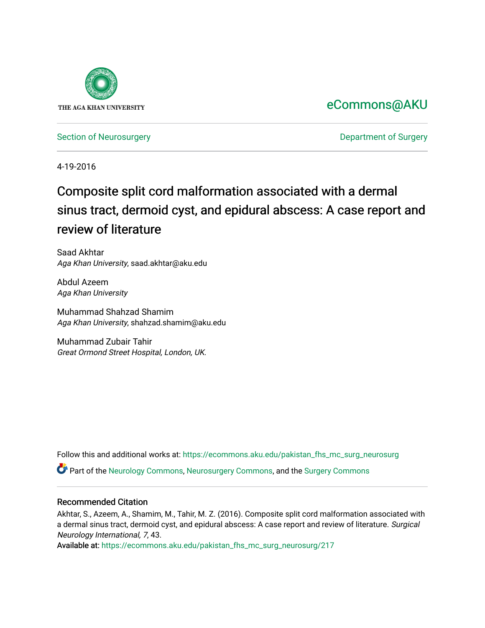

# [eCommons@AKU](https://ecommons.aku.edu/)

[Section of Neurosurgery](https://ecommons.aku.edu/pakistan_fhs_mc_surg_neurosurg) **Department of Surgery** Department of Surgery

4-19-2016

# Composite split cord malformation associated with a dermal sinus tract, dermoid cyst, and epidural abscess: A case report and review of literature

Saad Akhtar Aga Khan University, saad.akhtar@aku.edu

Abdul Azeem Aga Khan University

Muhammad Shahzad Shamim Aga Khan University, shahzad.shamim@aku.edu

Muhammad Zubair Tahir Great Ormond Street Hospital, London, UK.

Follow this and additional works at: [https://ecommons.aku.edu/pakistan\\_fhs\\_mc\\_surg\\_neurosurg](https://ecommons.aku.edu/pakistan_fhs_mc_surg_neurosurg?utm_source=ecommons.aku.edu%2Fpakistan_fhs_mc_surg_neurosurg%2F217&utm_medium=PDF&utm_campaign=PDFCoverPages) 

Part of the [Neurology Commons](http://network.bepress.com/hgg/discipline/692?utm_source=ecommons.aku.edu%2Fpakistan_fhs_mc_surg_neurosurg%2F217&utm_medium=PDF&utm_campaign=PDFCoverPages), [Neurosurgery Commons](http://network.bepress.com/hgg/discipline/1428?utm_source=ecommons.aku.edu%2Fpakistan_fhs_mc_surg_neurosurg%2F217&utm_medium=PDF&utm_campaign=PDFCoverPages), and the [Surgery Commons](http://network.bepress.com/hgg/discipline/706?utm_source=ecommons.aku.edu%2Fpakistan_fhs_mc_surg_neurosurg%2F217&utm_medium=PDF&utm_campaign=PDFCoverPages) 

## Recommended Citation

Akhtar, S., Azeem, A., Shamim, M., Tahir, M. Z. (2016). Composite split cord malformation associated with a dermal sinus tract, dermoid cyst, and epidural abscess: A case report and review of literature. Surgical Neurology International, 7, 43.

Available at: [https://ecommons.aku.edu/pakistan\\_fhs\\_mc\\_surg\\_neurosurg/217](https://ecommons.aku.edu/pakistan_fhs_mc_surg_neurosurg/217)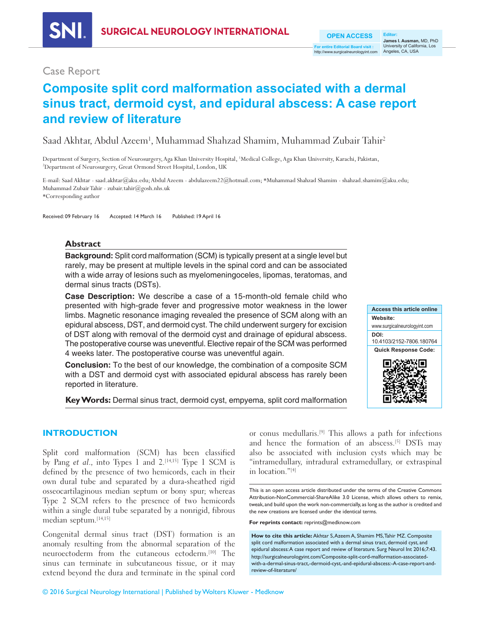http://www.surgicalneurologyint.com Angeles, CA, USA **OPEN ACCESS For entire Editorial Board visit :**

## Case Report

# **Composite split cord malformation associated with a dermal sinus tract, dermoid cyst, and epidural abscess: A case report and review of literature**

Saad Akhtar, Abdul Azeem<sup>1</sup>, Muhammad Shahzad Shamim, Muhammad Zubair Tahir<sup>2</sup>

Department of Surgery, Section of Neurosurgery, Aga Khan University Hospital, 1 Medical College, Aga Khan University, Karachi, Pakistan, 2 Department of Neurosurgery, Great Ormond Street Hospital, London, UK

E‑mail: Saad Akhtar ‑ saad.akhtar@aku.edu; Abdul Azeem ‑ abdulazeem22@hotmail.com; \*Muhammad Shahzad Shamim ‑ shahzad.shamim@aku.edu; Muhammad Zubair Tahir ‑ zubair.tahir@gosh.nhs.uk \*Corresponding author

Received: 09 February 16 Accepted: 14 March 16 Published: 19 April 16

## **Abstract**

**Background:** Split cord malformation (SCM) is typically present at a single level but rarely, may be present at multiple levels in the spinal cord and can be associated with a wide array of lesions such as myelomeningoceles, lipomas, teratomas, and dermal sinus tracts (DSTs).

**Case Description:** We describe a case of a 15‑month‑old female child who presented with high‑grade fever and progressive motor weakness in the lower limbs. Magnetic resonance imaging revealed the presence of SCM along with an epidural abscess, DST, and dermoid cyst. The child underwent surgery for excision of DST along with removal of the dermoid cyst and drainage of epidural abscess. The postoperative course was uneventful. Elective repair of the SCM was performed 4 weeks later. The postoperative course was uneventful again.

**Conclusion:** To the best of our knowledge, the combination of a composite SCM with a DST and dermoid cyst with associated epidural abscess has rarely been reported in literature.

**Key Words:** Dermal sinus tract, dermoid cyst, empyema, split cord malformation



### **INTRODUCTION**

Split cord malformation (SCM) has been classified by Pang et al., into Types 1 and  $2$ .<sup>[14,15]</sup> Type 1 SCM is defined by the presence of two hemicords, each in their own dural tube and separated by a dura‑sheathed rigid osseocartilaginous median septum or bony spur; whereas Type 2 SCM refers to the presence of two hemicords within a single dural tube separated by a nonrigid, fibrous median septum.[14,15]

Congenital dermal sinus tract (DST) formation is an anomaly resulting from the abnormal separation of the neuroectoderm from the cutaneous ectoderm.[10] The sinus can terminate in subcutaneous tissue, or it may extend beyond the dura and terminate in the spinal cord or conus medullaris.[9] This allows a path for infections and hence the formation of an abscess.[5] DSTs may also be associated with inclusion cysts which may be "intramedullary, intradural extramedullary, or extraspinal in location."[4]

This is an open access article distributed under the terms of the Creative Commons Attribution-NonCommercial-ShareAlike 3.0 License, which allows others to remix, tweak, and build upon the work non-commercially, as long as the author is credited and the new creations are licensed under the identical terms.

**For reprints contact:** reprints@medknow.com

**How to cite this article:** Akhtar S, Azeem A, Shamim MS, Tahir MZ. Composite split cord malformation associated with a dermal sinus tract, dermoid cyst, and epidural abscess: A case report and review of literature. Surg Neurol Int 2016;7:43. http://surgicalneurologyint.com/Composite-split-cord-malformation-associatedwith-a-dermal-sinus-tract,-dermoid-cyst,-and-epidural-abscess:-A-case-report-andreview-of-literature/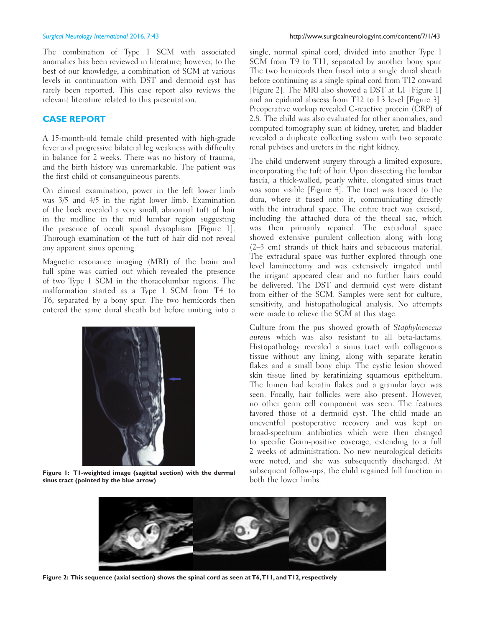The combination of Type 1 SCM with associated anomalies has been reviewed in literature; however, to the best of our knowledge, a combination of SCM at various levels in continuation with DST and dermoid cyst has rarely been reported. This case report also reviews the relevant literature related to this presentation.

### **CASE REPORT**

A 15‑month‑old female child presented with high‑grade fever and progressive bilateral leg weakness with difficulty in balance for 2 weeks. There was no history of trauma, and the birth history was unremarkable. The patient was the first child of consanguineous parents.

On clinical examination, power in the left lower limb was 3/5 and 4/5 in the right lower limb. Examination of the back revealed a very small, abnormal tuft of hair in the midline in the mid lumbar region suggesting the presence of occult spinal dysraphism [Figure 1]. Thorough examination of the tuft of hair did not reveal any apparent sinus opening.

Magnetic resonance imaging (MRI) of the brain and full spine was carried out which revealed the presence of two Type 1 SCM in the thoracolumbar regions. The malformation started as a Type 1 SCM from T4 to T6, separated by a bony spur. The two hemicords then entered the same dural sheath but before uniting into a



**Figure 1: T1-weighted image (sagittal section) with the dermal sinus tract (pointed by the blue arrow)**

single, normal spinal cord, divided into another Type 1 SCM from T9 to T11, separated by another bony spur. The two hemicords then fused into a single dural sheath before continuing as a single spinal cord from T12 onward [Figure 2]. The MRI also showed a DST at L1 [Figure 1] and an epidural abscess from T12 to L3 level [Figure 3]. Preoperative workup revealed C-reactive protein (CRP) of 2.8. The child was also evaluated for other anomalies, and computed tomography scan of kidney, ureter, and bladder revealed a duplicate collecting system with two separate renal pelvises and ureters in the right kidney.

The child underwent surgery through a limited exposure, incorporating the tuft of hair. Upon dissecting the lumbar fascia, a thick‑walled, pearly white, elongated sinus tract was soon visible [Figure 4]. The tract was traced to the dura, where it fused onto it, communicating directly with the intradural space. The entire tract was excised, including the attached dura of the thecal sac, which was then primarily repaired. The extradural space showed extensive purulent collection along with long (2–3 cm) strands of thick hairs and sebaceous material. The extradural space was further explored through one level laminectomy and was extensively irrigated until the irrigant appeared clear and no further hairs could be delivered. The DST and dermoid cyst were distant from either of the SCM. Samples were sent for culture, sensitivity, and histopathological analysis. No attempts were made to relieve the SCM at this stage.

Culture from the pus showed growth of Staphylococcus aureus which was also resistant to all beta-lactams. Histopathology revealed a sinus tract with collagenous tissue without any lining, along with separate keratin flakes and a small bony chip. The cystic lesion showed skin tissue lined by keratinizing squamous epithelium. The lumen had keratin flakes and a granular layer was seen. Focally, hair follicles were also present. However, no other germ cell component was seen. The features favored those of a dermoid cyst. The child made an uneventful postoperative recovery and was kept on broad‑spectrum antibiotics which were then changed to specific Gram‑positive coverage, extending to a full 2 weeks of administration. No new neurological deficits were noted, and she was subsequently discharged. At subsequent follow‑ups, the child regained full function in both the lower limbs.



Figure 2: This sequence (axial section) shows the spinal cord as seen at T6, T11, and T12, respectively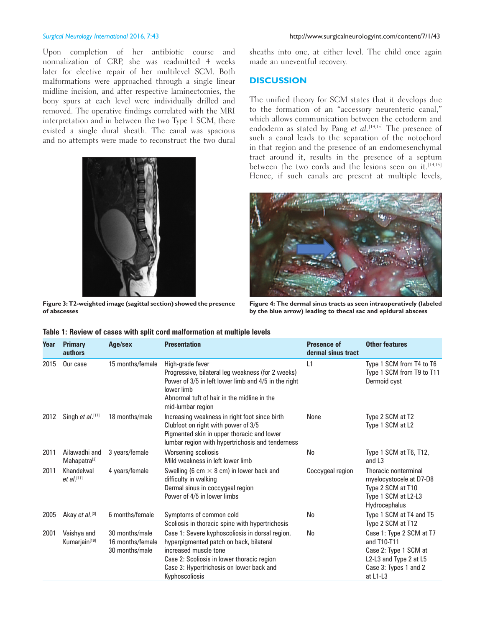Upon completion of her antibiotic course and normalization of CRP, she was readmitted 4 weeks later for elective repair of her multilevel SCM. Both malformations were approached through a single linear midline incision, and after respective laminectomies, the bony spurs at each level were individually drilled and removed. The operative findings correlated with the MRI interpretation and in between the two Type 1 SCM, there existed a single dural sheath. The canal was spacious and no attempts were made to reconstruct the two dural



**Figure 3: T2-weighted image (sagittal section) showed the presence of abscesses**

sheaths into one, at either level. The child once again made an uneventful recovery.

### **DISCUSSION**

The unified theory for SCM states that it develops due to the formation of an "accessory neurenteric canal," which allows communication between the ectoderm and endoderm as stated by Pang *et al*.<sup>[14,15]</sup> The presence of such a canal leads to the separation of the notochord in that region and the presence of an endomesenchymal tract around it, results in the presence of a septum between the two cords and the lesions seen on it.<sup>[14,15]</sup> Hence, if such canals are present at multiple levels,



**Figure 4: The dermal sinus tracts as seen intraoperatively (labeled by the blue arrow) leading to thecal sac and epidural abscess**

| Year | <b>Primary</b><br>authors                 | Age/sex                                              | <b>Presentation</b>                                                                                                                                                                                                             | <b>Presence of</b><br>dermal sinus tract | <b>Other features</b>                                                                                                           |
|------|-------------------------------------------|------------------------------------------------------|---------------------------------------------------------------------------------------------------------------------------------------------------------------------------------------------------------------------------------|------------------------------------------|---------------------------------------------------------------------------------------------------------------------------------|
| 2015 | Our case                                  | 15 months/female                                     | High-grade fever<br>Progressive, bilateral leg weakness (for 2 weeks)<br>Power of 3/5 in left lower limb and 4/5 in the right<br>lower limb<br>Abnormal tuft of hair in the midline in the<br>mid-lumbar region                 | L1                                       | Type 1 SCM from T4 to T6<br>Type 1 SCM from T9 to T11<br>Dermoid cyst                                                           |
| 2012 | Singh et al.[17]                          | 18 months/male                                       | Increasing weakness in right foot since birth<br>Clubfoot on right with power of 3/5<br>Pigmented skin in upper thoracic and lower<br>lumbar region with hypertrichosis and tenderness                                          | None                                     | Type 2 SCM at T2<br>Type 1 SCM at L2                                                                                            |
| 2011 | Ailawadhi and<br>Mahapatra <sup>[2]</sup> | 3 years/female                                       | Worsening scoliosis<br>Mild weakness in left lower limb                                                                                                                                                                         | No                                       | Type 1 SCM at T6, T12,<br>and L <sub>3</sub>                                                                                    |
| 2011 | Khandelwal<br>$et al.$ [11]               | 4 years/female                                       | Swelling (6 cm $\times$ 8 cm) in lower back and<br>difficulty in walking<br>Dermal sinus in coccygeal region<br>Power of 4/5 in lower limbs                                                                                     | Coccygeal region                         | Thoracic nonterminal<br>myelocystocele at D7-D8<br>Type 2 SCM at T10<br>Type 1 SCM at L2-L3<br>Hydrocephalus                    |
| 2005 | Akay et al.[3]                            | 6 months/female                                      | Symptoms of common cold<br>Scoliosis in thoracic spine with hypertrichosis                                                                                                                                                      | No                                       | Type 1 SCM at T4 and T5<br>Type 2 SCM at T12                                                                                    |
| 2001 | Vaishya and<br>Kumarjain <sup>[19]</sup>  | 30 months/male<br>16 months/female<br>30 months/male | Case 1: Severe kyphoscoliosis in dorsal region,<br>hyperpigmented patch on back, bilateral<br>increased muscle tone<br>Case 2: Scoliosis in lower thoracic region<br>Case 3: Hypertrichosis on lower back and<br>Kyphoscoliosis | No                                       | Case 1: Type 2 SCM at T7<br>and T10-T11<br>Case 2: Type 1 SCM at<br>L2-L3 and Type 2 at L5<br>Case 3: Types 1 and 2<br>at L1-L3 |

|  |  |  | Table 1: Review of cases with split cord malformation at multiple levels |
|--|--|--|--------------------------------------------------------------------------|
|--|--|--|--------------------------------------------------------------------------|